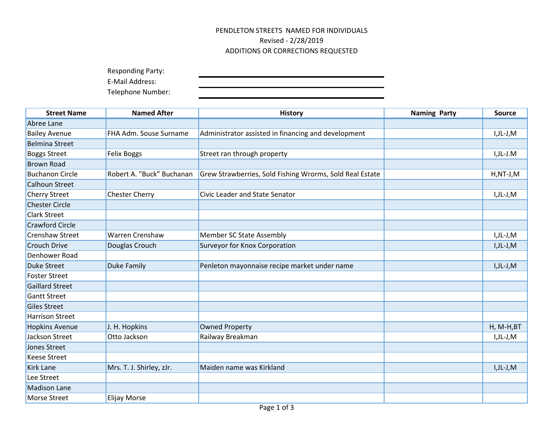## PENDLETON STREETS NAMED FOR INDIVIDUALS Revised - 2/28/2019 ADDITIONS OR CORRECTIONS REQUESTED

Responding Party:

E-Mail Address:

Telephone Number:

| <b>Street Name</b>     | <b>Named After</b>        | <b>History</b>                                           | <b>Naming Party</b> | <b>Source</b> |
|------------------------|---------------------------|----------------------------------------------------------|---------------------|---------------|
| Abree Lane             |                           |                                                          |                     |               |
| <b>Bailey Avenue</b>   | FHA Adm. Souse Surname    | Administrator assisted in financing and development      |                     | I,JL-J,M      |
| <b>Belmina Street</b>  |                           |                                                          |                     |               |
| <b>Boggs Street</b>    | <b>Felix Boggs</b>        | Street ran through property                              |                     | I,JL-J.M      |
| <b>Brown Road</b>      |                           |                                                          |                     |               |
| <b>Buchanon Circle</b> | Robert A. "Buck" Buchanan | Grew Strawberries, Sold Fishing Wrorms, Sold Real Estate |                     | $H, NT-J, M$  |
| <b>Calhoun Street</b>  |                           |                                                          |                     |               |
| Cherry Street          | <b>Chester Cherry</b>     | <b>Civic Leader and State Senator</b>                    |                     | I,JL-J,M      |
| <b>Chester Circle</b>  |                           |                                                          |                     |               |
| <b>Clark Street</b>    |                           |                                                          |                     |               |
| <b>Crawford Circle</b> |                           |                                                          |                     |               |
| Crenshaw Street        | <b>Warren Crenshaw</b>    | <b>Member SC State Assembly</b>                          |                     | I,JL-J,M      |
| <b>Crouch Drive</b>    | Douglas Crouch            | Surveyor for Knox Corporation                            |                     | I,JL-J,M      |
| Denhower Road          |                           |                                                          |                     |               |
| <b>Duke Street</b>     | <b>Duke Family</b>        | Penleton mayonnaise recipe market under name             |                     | I,JL-J,M      |
| <b>Foster Street</b>   |                           |                                                          |                     |               |
| <b>Gaillard Street</b> |                           |                                                          |                     |               |
| <b>Gantt Street</b>    |                           |                                                          |                     |               |
| Giles Street           |                           |                                                          |                     |               |
| <b>Harrison Street</b> |                           |                                                          |                     |               |
| <b>Hopkins Avenue</b>  | J. H. Hopkins             | <b>Owned Property</b>                                    |                     | $H, M-H, BT$  |
| Jackson Street         | Otto Jackson              | Railway Breakman                                         |                     | I,JL-J,M      |
| Jones Street           |                           |                                                          |                     |               |
| <b>Keese Street</b>    |                           |                                                          |                     |               |
| <b>Kirk Lane</b>       | Mrs. T. J. Shirley, zJr.  | Maiden name was Kirkland                                 |                     | I,JL-J,M      |
| Lee Street             |                           |                                                          |                     |               |
| <b>Madison Lane</b>    |                           |                                                          |                     |               |
| <b>Morse Street</b>    | <b>Elijay Morse</b>       |                                                          |                     |               |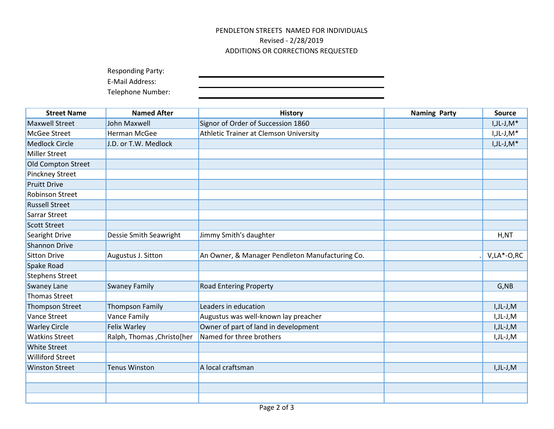## PENDLETON STREETS NAMED FOR INDIVIDUALS Revised - 2/28/2019 ADDITIONS OR CORRECTIONS REQUESTED

Responding Party:

E-Mail Address:

Telephone Number:

| <b>Street Name</b>      | <b>Named After</b>           | <b>History</b>                                  | <b>Naming Party</b> | <b>Source</b>  |
|-------------------------|------------------------------|-------------------------------------------------|---------------------|----------------|
| <b>Maxwell Street</b>   | <b>John Maxwell</b>          | Signor of Order of Succession 1860              |                     | $I, JL-J, M^*$ |
| McGee Street            | Herman McGee                 | Athletic Trainer at Clemson University          |                     | $I, JL-J, M^*$ |
| <b>Medlock Circle</b>   | J.D. or T.W. Medlock         |                                                 |                     | $I, JL-J, M^*$ |
| <b>Miller Street</b>    |                              |                                                 |                     |                |
| Old Compton Street      |                              |                                                 |                     |                |
| Pinckney Street         |                              |                                                 |                     |                |
| <b>Pruitt Drive</b>     |                              |                                                 |                     |                |
| <b>Robinson Street</b>  |                              |                                                 |                     |                |
| <b>Russell Street</b>   |                              |                                                 |                     |                |
| Sarrar Street           |                              |                                                 |                     |                |
| <b>Scott Street</b>     |                              |                                                 |                     |                |
| Searight Drive          | Dessie Smith Seawright       | Jimmy Smith's daughter                          |                     | H, NT          |
| <b>Shannon Drive</b>    |                              |                                                 |                     |                |
| <b>Sitton Drive</b>     | Augustus J. Sitton           | An Owner, & Manager Pendleton Manufacturing Co. |                     | $V, LA*-O, RC$ |
| Spake Road              |                              |                                                 |                     |                |
| <b>Stephens Street</b>  |                              |                                                 |                     |                |
| <b>Swaney Lane</b>      | <b>Swaney Family</b>         | <b>Road Entering Property</b>                   |                     | G, NB          |
| Thomas Street           |                              |                                                 |                     |                |
| <b>Thompson Street</b>  | <b>Thompson Family</b>       | Leaders in education                            |                     | I,JL-J,M       |
| Vance Street            | Vance Family                 | Augustus was well-known lay preacher            |                     | I,JL-J,M       |
| <b>Warley Circle</b>    | Felix Warley                 | Owner of part of land in development            |                     | $I, JL-J, M$   |
| <b>Watkins Street</b>   | Ralph, Thomas , Christo [her | Named for three brothers                        |                     | I,JL-J,M       |
| <b>White Street</b>     |                              |                                                 |                     |                |
| <b>Williford Street</b> |                              |                                                 |                     |                |
| <b>Winston Street</b>   | <b>Tenus Winston</b>         | A local craftsman                               |                     | $I, JL-J, M$   |
|                         |                              |                                                 |                     |                |
|                         |                              |                                                 |                     |                |
|                         |                              |                                                 |                     |                |